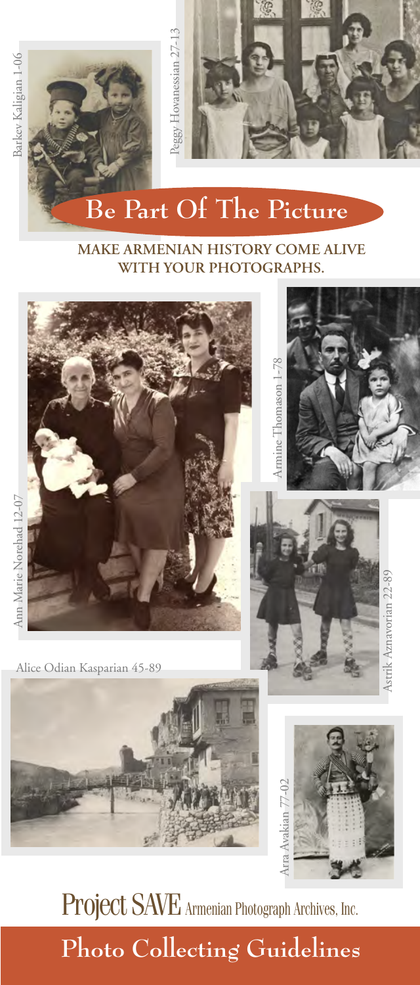



# **Be Part Of The Picture**

#### **MAKE ARMENIAN HISTORY COME ALIVE WITH YOUR PHOTOGRAPHS.**







Astrik Aznavorian 22-89

**Astrik Aznavorian 22-89** 

## **Photo Collecting Guidelines**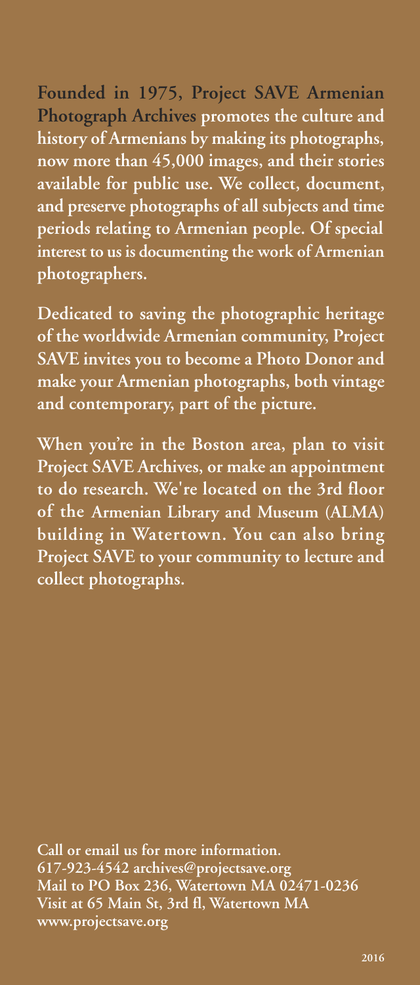### **Founded in 1975, Project SAVE Armenian Photograph Archives promotes the culture and history of Armenians by making its photographs, now more than 45,000 images, and their stories**

**available for public use. We collect, document, and preserve photographs of all subjects and time periods relating to Armenian people. Of special interest to us is documenting the work of Armenian photographers.**

**Dedicated to saving the photographic heritage of the worldwide Armenian community, Project SAVE invites you to become a Photo Donor and make your Armenian photographs, both vintage and contemporary, part of the picture.** 

**When you're in the Boston area, plan to visit Project SAVE Archives, or make an appointment to do research. We're located on the 3rd floor of the Armenian Library and Museum (ALMA) building in Watertown. You can also bring Project SAVE to your community to lecture and collect photographs.** 

**Call or email us for more information. 617-923-4542 archives@projectsave.org Mail to PO Box 236, Watertown MA 02471-0236 Visit at 65 Main St, 3rd fl, Watertown MA www.projectsave.org**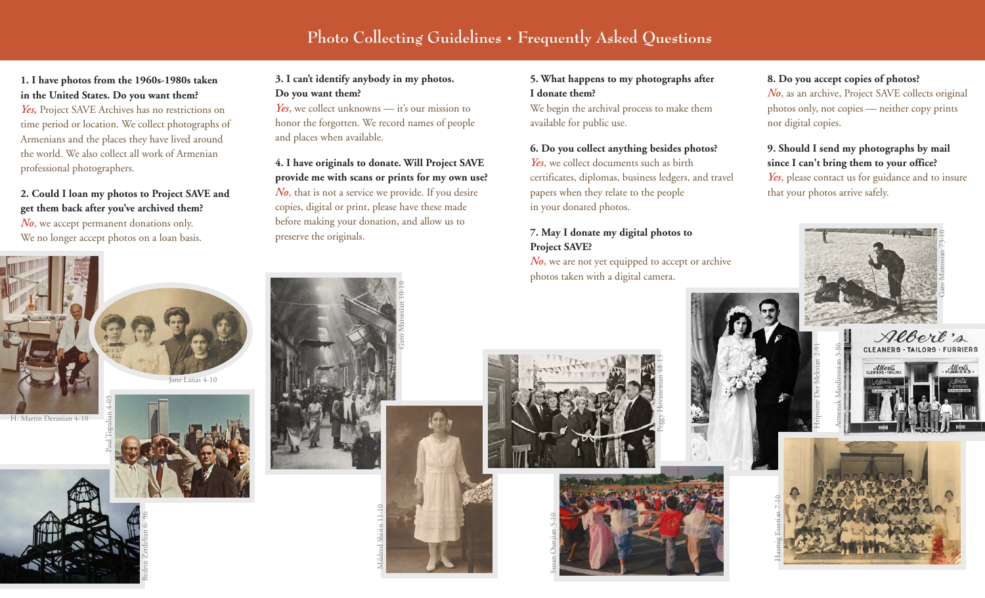## **Photo Collecting Guidelines • Frequently Asked Questions**

### **1. I have photos from the 1960s-1980s taken in the United States. Do you want them?**

*Yes,* Project SAVE Archives has no restrictions on time period or location. We collect photographs of Armenians and the places they have lived around the world. We also collect all work of Armenian professional photographers.

**2. Could I loan my photos to Project SAVE and get them back after you've archived them?**  *No*, we accept permanent donations only. We no longer accept photos on a loan basis.



H. Martin Deranian 4-10



Bedros Zerdelian 6- 96



ane Lanas 4-10



*Yes*, we collect unknowns — it's our mission to honor the forgotten. We record names of people and places when available.

### **4. I have originals to donate. Will Project SAVE provide me with scans or prints for my own use?**

*No*, that is not a service we provide. If you desire copies, digital or print, please have these made before making your donation, and allow us to preserve the originals.

Garo Matossian 10-10

### **5. What happens to my photographs after I donate them?**

We begin the archival process to make them available for public use.

#### **6. Do you collect anything besides photos?**

*Yes*, we collect documents such as birth certificates, diplomas, business ledgers, and travel papers when they relate to the people in your donated photos.

#### **7. May I donate my digital photos to Project SAVE?**

*No*, we are not yet equipped to accept or archive photos taken with a digital camera.

Peggy Hovanessian 48-13

#### **8. Do you accept copies of photos?**

*No*, as an archive, Project SAVE collects original photos only, not copies — neither copy prints nor digital copies.

### **9. Should I send my photographs by mail since I can't bring them to your office?**  *Yes*, please contact us for guidance and to insure that your photos arrive safely.





Hasmig Esserian 7-10







Mildred Shirin 11-10





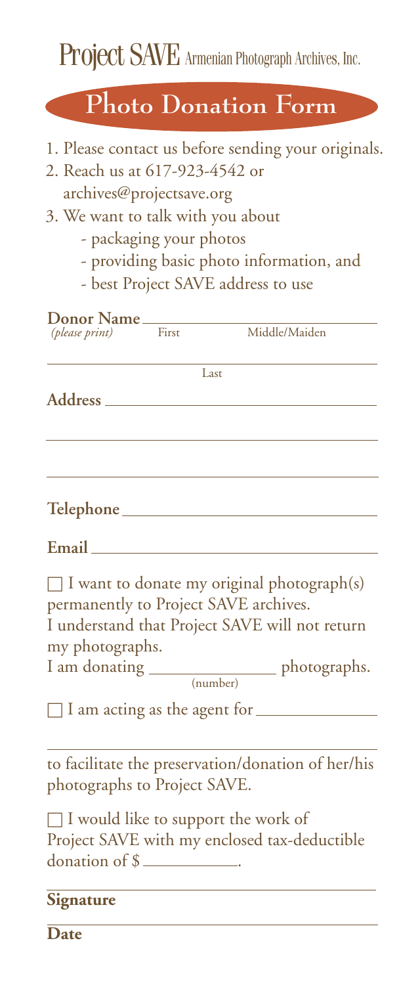Project SAVE Armenian Photograph Archives, Inc.

## **Photo Donation Form**

- 1. Please contact us before sending your originals.
- 2. Reach us at 617-923-4542 or archives@projectsave.org
- 3. We want to talk with you about
	- packaging your photos
	- providing basic photo information, and
	- best Project SAVE address to use

| Donor Name                   |       |                                                                                                                                              |
|------------------------------|-------|----------------------------------------------------------------------------------------------------------------------------------------------|
| (please print)               | First | Middle/Maiden                                                                                                                                |
|                              | Last  |                                                                                                                                              |
| Address ____                 |       |                                                                                                                                              |
|                              |       |                                                                                                                                              |
|                              |       |                                                                                                                                              |
|                              |       |                                                                                                                                              |
| Email <u>experience</u>      |       |                                                                                                                                              |
| my photographs.              |       | $\Box$ I want to donate my original photograph(s)<br>permanently to Project SAVE archives.<br>I understand that Project SAVE will not return |
|                              |       | I am donating _________________ photographs.<br>(number)                                                                                     |
|                              |       | $\Box$ I am acting as the agent for $\Box$                                                                                                   |
| photographs to Project SAVE. |       | to facilitate the preservation/donation of her/his                                                                                           |
| donation of \$               |       | $\Box$ I would like to support the work of<br>Project SAVE with my enclosed tax-deductible                                                   |
| Signature                    |       |                                                                                                                                              |
| Date                         |       |                                                                                                                                              |